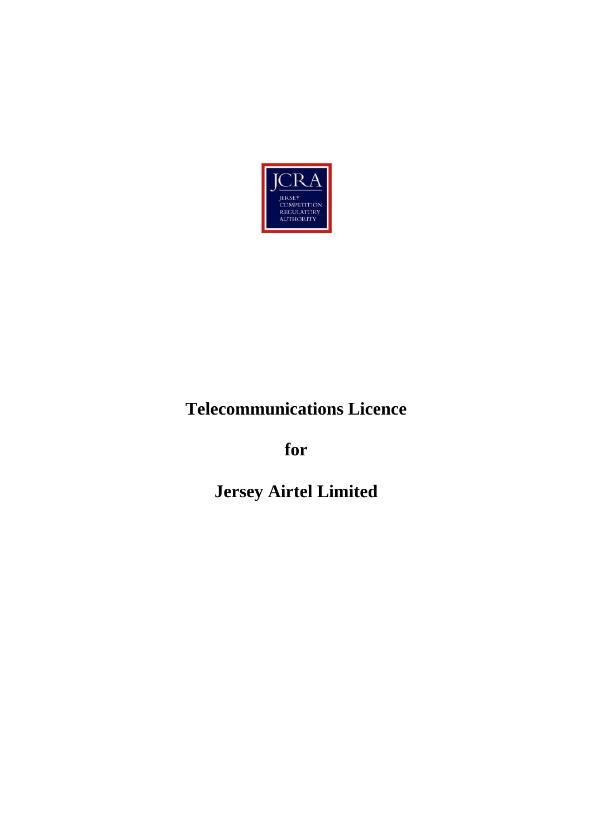

# **Telecommunications Licence**

**for**

**Jersey Airtel Limited**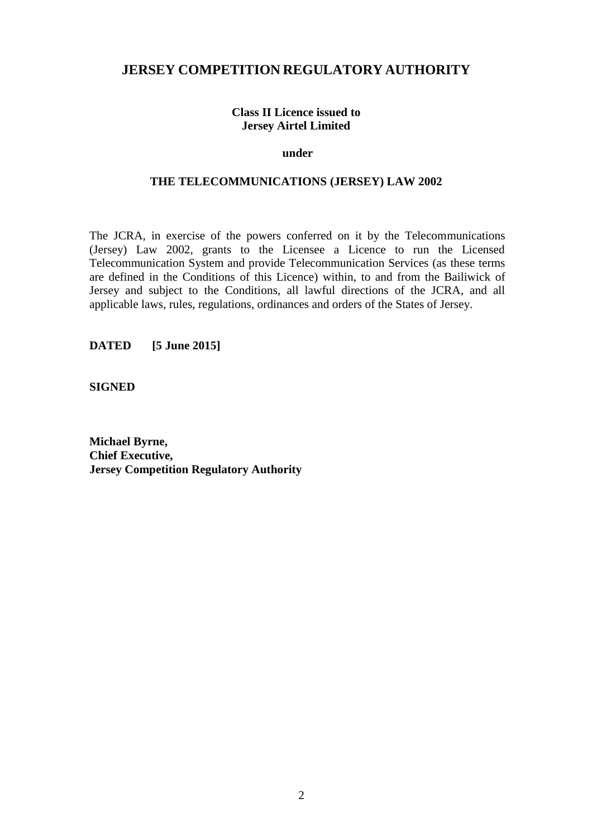## **JERSEY COMPETITION REGULATORY AUTHORITY**

#### **Class II Licence issued to Jersey Airtel Limited**

#### **under**

#### **THE TELECOMMUNICATIONS (JERSEY) LAW 2002**

The JCRA, in exercise of the powers conferred on it by the Telecommunications (Jersey) Law 2002, grants to the Licensee a Licence to run the Licensed Telecommunication System and provide Telecommunication Services (as these terms are defined in the Conditions of this Licence) within, to and from the Bailiwick of Jersey and subject to the Conditions, all lawful directions of the JCRA, and all applicable laws, rules, regulations, ordinances and orders of the States of Jersey.

**DATED [5 June 2015]**

**SIGNED**

**Michael Byrne, Chief Executive, Jersey Competition Regulatory Authority**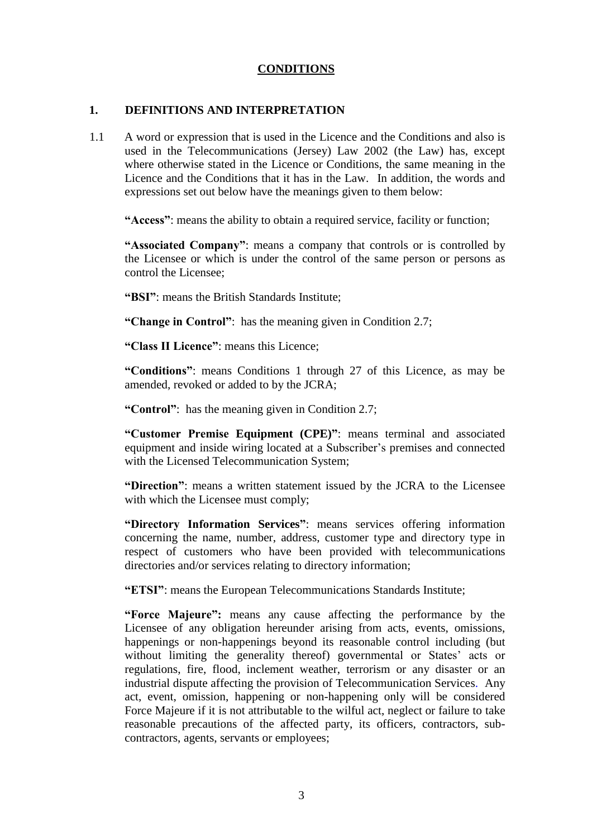#### **CONDITIONS**

#### **1. DEFINITIONS AND INTERPRETATION**

1.1 A word or expression that is used in the Licence and the Conditions and also is used in the Telecommunications (Jersey) Law 2002 (the Law) has, except where otherwise stated in the Licence or Conditions, the same meaning in the Licence and the Conditions that it has in the Law. In addition, the words and expressions set out below have the meanings given to them below:

**"Access"**: means the ability to obtain a required service, facility or function;

**"Associated Company"**: means a company that controls or is controlled by the Licensee or which is under the control of the same person or persons as control the Licensee;

**"BSI"**: means the British Standards Institute;

**"Change in Control"**: has the meaning given in Condition 2.7;

**"Class II Licence"**: means this Licence;

**"Conditions"**: means Conditions 1 through 27 of this Licence, as may be amended, revoked or added to by the JCRA;

**"Control"**: has the meaning given in Condition 2.7;

**"Customer Premise Equipment (CPE)"**: means terminal and associated equipment and inside wiring located at a Subscriber's premises and connected with the Licensed Telecommunication System;

**"Direction"**: means a written statement issued by the JCRA to the Licensee with which the Licensee must comply;

**"Directory Information Services"**: means services offering information concerning the name, number, address, customer type and directory type in respect of customers who have been provided with telecommunications directories and/or services relating to directory information;

**"ETSI"**: means the European Telecommunications Standards Institute;

**"Force Majeure":** means any cause affecting the performance by the Licensee of any obligation hereunder arising from acts, events, omissions, happenings or non-happenings beyond its reasonable control including (but without limiting the generality thereof) governmental or States' acts or regulations, fire, flood, inclement weather, terrorism or any disaster or an industrial dispute affecting the provision of Telecommunication Services. Any act, event, omission, happening or non-happening only will be considered Force Majeure if it is not attributable to the wilful act, neglect or failure to take reasonable precautions of the affected party, its officers, contractors, subcontractors, agents, servants or employees;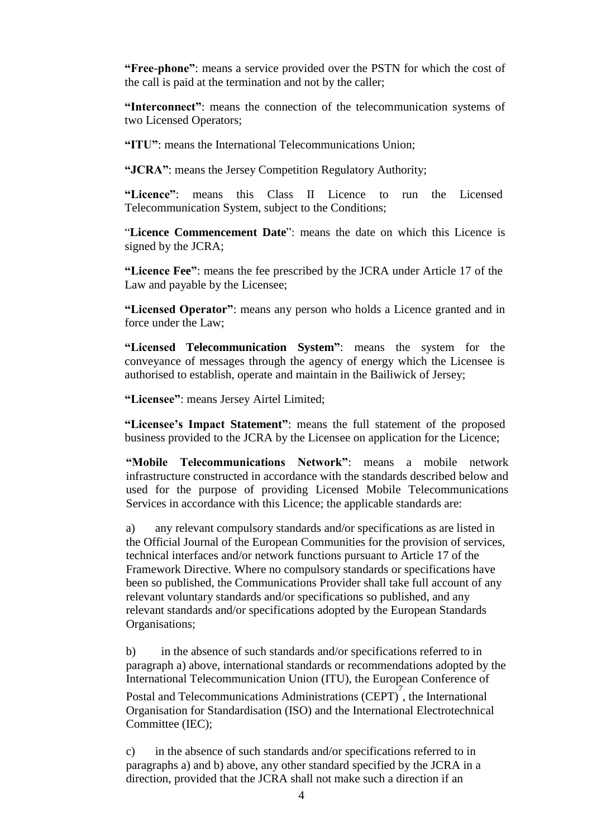**"Free**-**phone"**: means a service provided over the PSTN for which the cost of the call is paid at the termination and not by the caller;

**"Interconnect"**: means the connection of the telecommunication systems of two Licensed Operators;

**"ITU"**: means the International Telecommunications Union;

**"JCRA"**: means the Jersey Competition Regulatory Authority;

**"Licence"**: means this Class II Licence to run the Licensed Telecommunication System, subject to the Conditions;

"**Licence Commencement Date**": means the date on which this Licence is signed by the JCRA;

**"Licence Fee"**: means the fee prescribed by the JCRA under Article 17 of the Law and payable by the Licensee;

**"Licensed Operator"**: means any person who holds a Licence granted and in force under the Law;

**"Licensed Telecommunication System"**: means the system for the conveyance of messages through the agency of energy which the Licensee is authorised to establish, operate and maintain in the Bailiwick of Jersey;

**"Licensee"**: means Jersey Airtel Limited;

**"Licensee's Impact Statement"**: means the full statement of the proposed business provided to the JCRA by the Licensee on application for the Licence;

**"Mobile Telecommunications Network"**: means a mobile network infrastructure constructed in accordance with the standards described below and used for the purpose of providing Licensed Mobile Telecommunications Services in accordance with this Licence; the applicable standards are:

a) any relevant compulsory standards and/or specifications as are listed in the Official Journal of the European Communities for the provision of services, technical interfaces and/or network functions pursuant to Article 17 of the Framework Directive. Where no compulsory standards or specifications have been so published, the Communications Provider shall take full account of any relevant voluntary standards and/or specifications so published, and any relevant standards and/or specifications adopted by the European Standards Organisations;

b) in the absence of such standards and/or specifications referred to in paragraph a) above, international standards or recommendations adopted by the International Telecommunication Union (ITU), the European Conference of

Postal and Telecommunications Administrations  $(CEPT)$ , the International Organisation for Standardisation (ISO) and the International Electrotechnical Committee (IEC);

c) in the absence of such standards and/or specifications referred to in paragraphs a) and b) above, any other standard specified by the JCRA in a direction, provided that the JCRA shall not make such a direction if an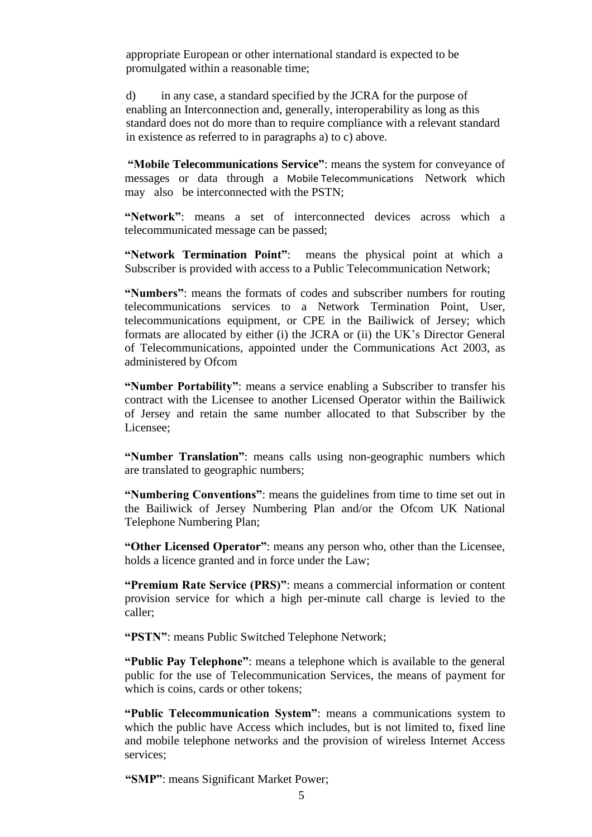appropriate European or other international standard is expected to be promulgated within a reasonable time;

d) in any case, a standard specified by the JCRA for the purpose of enabling an Interconnection and, generally, interoperability as long as this standard does not do more than to require compliance with a relevant standard in existence as referred to in paragraphs a) to c) above.

**"Mobile Telecommunications Service"**: means the system for conveyance of messages or data through a Mobile Telecommunications Network which may also be interconnected with the PSTN;

**"Network"**: means a set of interconnected devices across which a telecommunicated message can be passed;

**"Network Termination Point"**: means the physical point at which a Subscriber is provided with access to a Public Telecommunication Network;

**"Numbers"**: means the formats of codes and subscriber numbers for routing telecommunications services to a Network Termination Point, User, telecommunications equipment, or CPE in the Bailiwick of Jersey; which formats are allocated by either (i) the JCRA or (ii) the UK's Director General of Telecommunications, appointed under the Communications Act 2003, as administered by Ofcom

**"Number Portability"**: means a service enabling a Subscriber to transfer his contract with the Licensee to another Licensed Operator within the Bailiwick of Jersey and retain the same number allocated to that Subscriber by the Licensee;

**"Number Translation"**: means calls using non-geographic numbers which are translated to geographic numbers;

**"Numbering Conventions"**: means the guidelines from time to time set out in the Bailiwick of Jersey Numbering Plan and/or the Ofcom UK National Telephone Numbering Plan;

**"Other Licensed Operator"**: means any person who, other than the Licensee, holds a licence granted and in force under the Law;

**"Premium Rate Service (PRS)"**: means a commercial information or content provision service for which a high per-minute call charge is levied to the caller;

**"PSTN"**: means Public Switched Telephone Network;

**"Public Pay Telephone"**: means a telephone which is available to the general public for the use of Telecommunication Services, the means of payment for which is coins, cards or other tokens;

**"Public Telecommunication System"**: means a communications system to which the public have Access which includes, but is not limited to, fixed line and mobile telephone networks and the provision of wireless Internet Access services;

**"SMP"**: means Significant Market Power;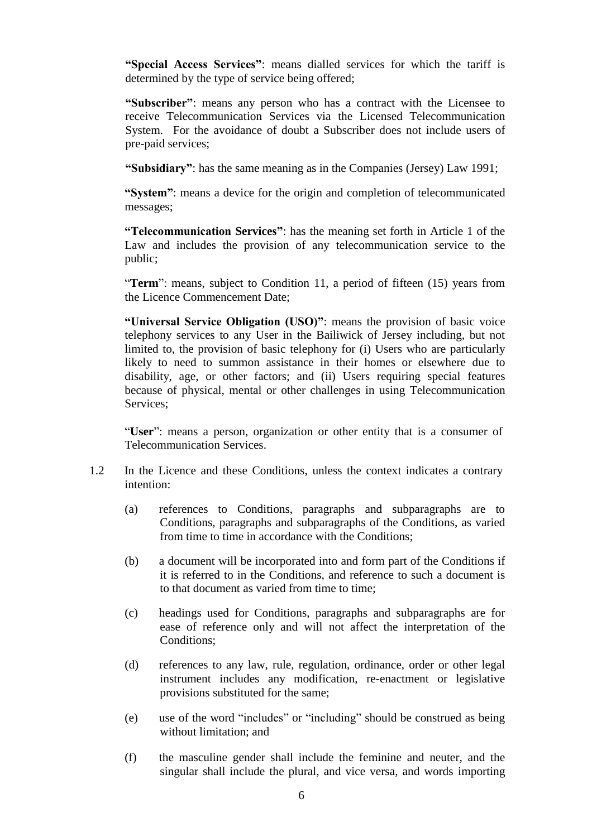**"Special Access Services"**: means dialled services for which the tariff is determined by the type of service being offered;

**"Subscriber"**: means any person who has a contract with the Licensee to receive Telecommunication Services via the Licensed Telecommunication System. For the avoidance of doubt a Subscriber does not include users of pre-paid services;

**"Subsidiary"**: has the same meaning as in the Companies (Jersey) Law 1991;

**"System"**: means a device for the origin and completion of telecommunicated messages;

**"Telecommunication Services"**: has the meaning set forth in Article 1 of the Law and includes the provision of any telecommunication service to the public;

"**Term**": means, subject to Condition 11, a period of fifteen (15) years from the Licence Commencement Date;

**"Universal Service Obligation (USO)"**: means the provision of basic voice telephony services to any User in the Bailiwick of Jersey including, but not limited to, the provision of basic telephony for (i) Users who are particularly likely to need to summon assistance in their homes or elsewhere due to disability, age, or other factors; and (ii) Users requiring special features because of physical, mental or other challenges in using Telecommunication Services;

"**User**": means a person, organization or other entity that is a consumer of Telecommunication Services.

- 1.2 In the Licence and these Conditions, unless the context indicates a contrary intention:
	- (a) references to Conditions, paragraphs and subparagraphs are to Conditions, paragraphs and subparagraphs of the Conditions, as varied from time to time in accordance with the Conditions;
	- (b) a document will be incorporated into and form part of the Conditions if it is referred to in the Conditions, and reference to such a document is to that document as varied from time to time;
	- (c) headings used for Conditions, paragraphs and subparagraphs are for ease of reference only and will not affect the interpretation of the Conditions;
	- (d) references to any law, rule, regulation, ordinance, order or other legal instrument includes any modification, re-enactment or legislative provisions substituted for the same;
	- (e) use of the word "includes" or "including" should be construed as being without limitation; and
	- (f) the masculine gender shall include the feminine and neuter, and the singular shall include the plural, and vice versa, and words importing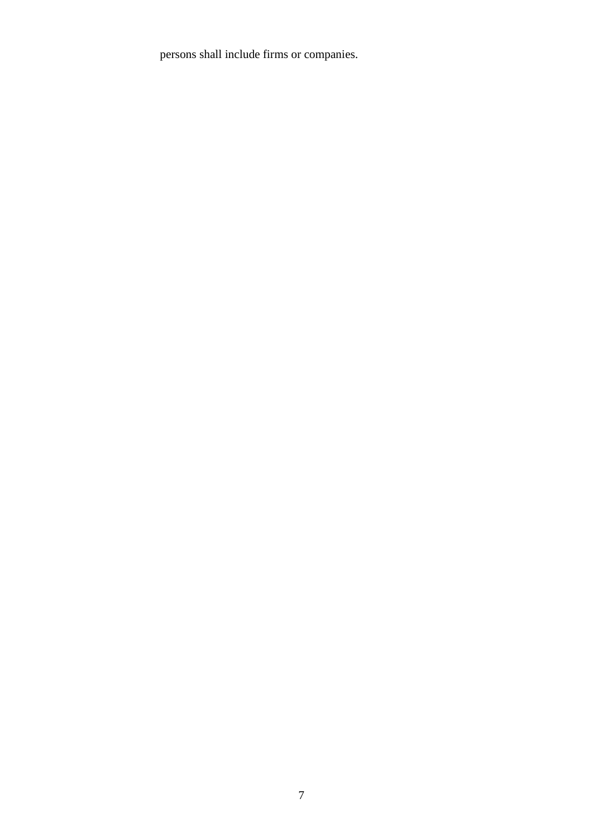persons shall include firms or companies.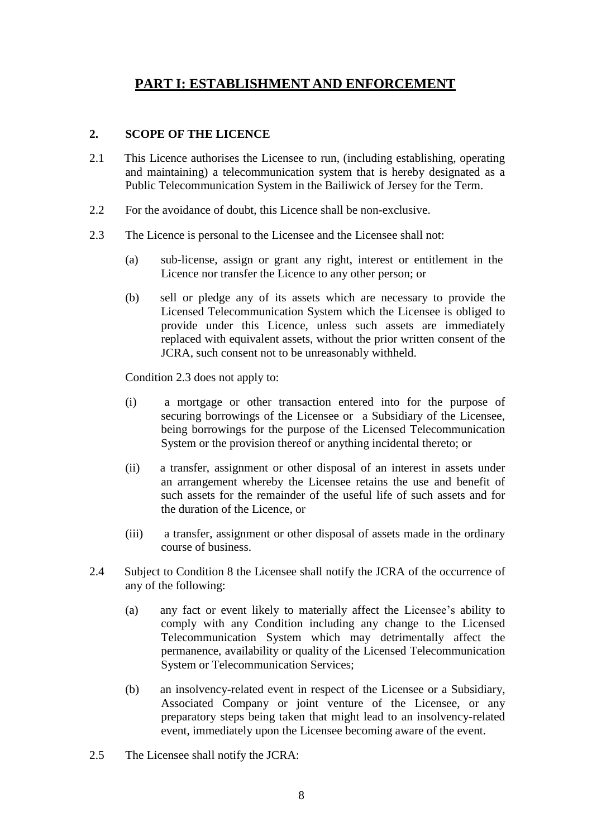# **PART I: ESTABLISHMENT AND ENFORCEMENT**

## **2. SCOPE OF THE LICENCE**

- 2.1 This Licence authorises the Licensee to run, (including establishing, operating and maintaining) a telecommunication system that is hereby designated as a Public Telecommunication System in the Bailiwick of Jersey for the Term.
- 2.2 For the avoidance of doubt, this Licence shall be non-exclusive.
- 2.3 The Licence is personal to the Licensee and the Licensee shall not:
	- (a) sub-license, assign or grant any right, interest or entitlement in the Licence nor transfer the Licence to any other person; or
	- (b) sell or pledge any of its assets which are necessary to provide the Licensed Telecommunication System which the Licensee is obliged to provide under this Licence, unless such assets are immediately replaced with equivalent assets, without the prior written consent of the JCRA, such consent not to be unreasonably withheld.

Condition 2.3 does not apply to:

- (i) a mortgage or other transaction entered into for the purpose of securing borrowings of the Licensee or a Subsidiary of the Licensee, being borrowings for the purpose of the Licensed Telecommunication System or the provision thereof or anything incidental thereto; or
- (ii) a transfer, assignment or other disposal of an interest in assets under an arrangement whereby the Licensee retains the use and benefit of such assets for the remainder of the useful life of such assets and for the duration of the Licence, or
- (iii) a transfer, assignment or other disposal of assets made in the ordinary course of business.
- 2.4 Subject to Condition 8 the Licensee shall notify the JCRA of the occurrence of any of the following:
	- (a) any fact or event likely to materially affect the Licensee's ability to comply with any Condition including any change to the Licensed Telecommunication System which may detrimentally affect the permanence, availability or quality of the Licensed Telecommunication System or Telecommunication Services;
	- (b) an insolvency-related event in respect of the Licensee or a Subsidiary, Associated Company or joint venture of the Licensee, or any preparatory steps being taken that might lead to an insolvency-related event, immediately upon the Licensee becoming aware of the event.
- 2.5 The Licensee shall notify the JCRA: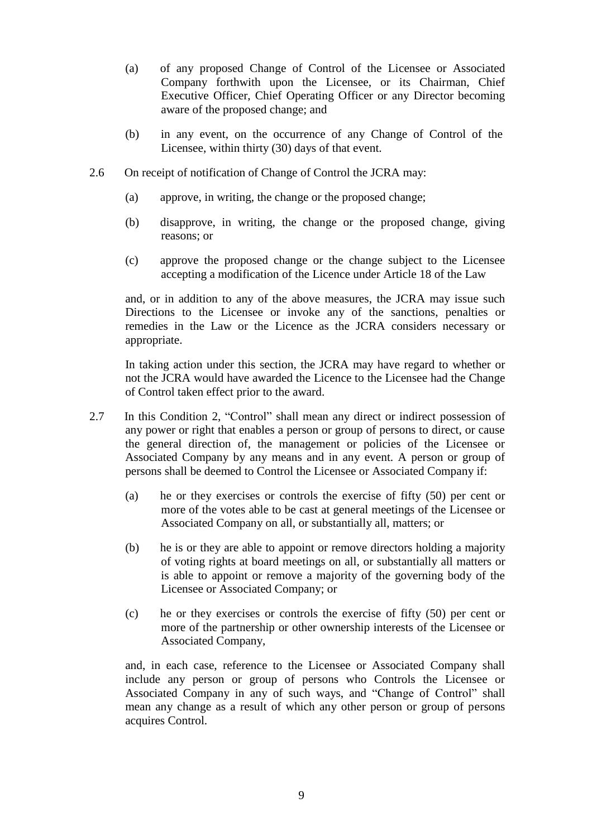- (a) of any proposed Change of Control of the Licensee or Associated Company forthwith upon the Licensee, or its Chairman, Chief Executive Officer, Chief Operating Officer or any Director becoming aware of the proposed change; and
- (b) in any event, on the occurrence of any Change of Control of the Licensee, within thirty (30) days of that event.
- 2.6 On receipt of notification of Change of Control the JCRA may:
	- (a) approve, in writing, the change or the proposed change;
	- (b) disapprove, in writing, the change or the proposed change, giving reasons; or
	- (c) approve the proposed change or the change subject to the Licensee accepting a modification of the Licence under Article 18 of the Law

and, or in addition to any of the above measures, the JCRA may issue such Directions to the Licensee or invoke any of the sanctions, penalties or remedies in the Law or the Licence as the JCRA considers necessary or appropriate.

In taking action under this section, the JCRA may have regard to whether or not the JCRA would have awarded the Licence to the Licensee had the Change of Control taken effect prior to the award.

- 2.7 In this Condition 2, "Control" shall mean any direct or indirect possession of any power or right that enables a person or group of persons to direct, or cause the general direction of, the management or policies of the Licensee or Associated Company by any means and in any event. A person or group of persons shall be deemed to Control the Licensee or Associated Company if:
	- (a) he or they exercises or controls the exercise of fifty (50) per cent or more of the votes able to be cast at general meetings of the Licensee or Associated Company on all, or substantially all, matters; or
	- (b) he is or they are able to appoint or remove directors holding a majority of voting rights at board meetings on all, or substantially all matters or is able to appoint or remove a majority of the governing body of the Licensee or Associated Company; or
	- (c) he or they exercises or controls the exercise of fifty (50) per cent or more of the partnership or other ownership interests of the Licensee or Associated Company,

and, in each case, reference to the Licensee or Associated Company shall include any person or group of persons who Controls the Licensee or Associated Company in any of such ways, and "Change of Control" shall mean any change as a result of which any other person or group of persons acquires Control.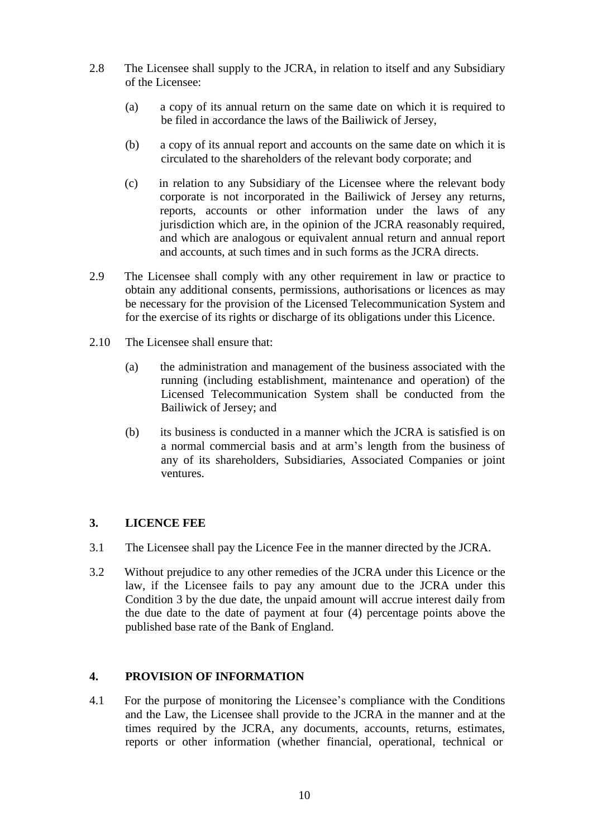- 2.8 The Licensee shall supply to the JCRA, in relation to itself and any Subsidiary of the Licensee:
	- (a) a copy of its annual return on the same date on which it is required to be filed in accordance the laws of the Bailiwick of Jersey,
	- (b) a copy of its annual report and accounts on the same date on which it is circulated to the shareholders of the relevant body corporate; and
	- (c) in relation to any Subsidiary of the Licensee where the relevant body corporate is not incorporated in the Bailiwick of Jersey any returns, reports, accounts or other information under the laws of any jurisdiction which are, in the opinion of the JCRA reasonably required, and which are analogous or equivalent annual return and annual report and accounts, at such times and in such forms as the JCRA directs.
- 2.9 The Licensee shall comply with any other requirement in law or practice to obtain any additional consents, permissions, authorisations or licences as may be necessary for the provision of the Licensed Telecommunication System and for the exercise of its rights or discharge of its obligations under this Licence.
- 2.10 The Licensee shall ensure that:
	- (a) the administration and management of the business associated with the running (including establishment, maintenance and operation) of the Licensed Telecommunication System shall be conducted from the Bailiwick of Jersey; and
	- (b) its business is conducted in a manner which the JCRA is satisfied is on a normal commercial basis and at arm's length from the business of any of its shareholders, Subsidiaries, Associated Companies or joint ventures.

## **3. LICENCE FEE**

- 3.1 The Licensee shall pay the Licence Fee in the manner directed by the JCRA.
- 3.2 Without prejudice to any other remedies of the JCRA under this Licence or the law, if the Licensee fails to pay any amount due to the JCRA under this Condition 3 by the due date, the unpaid amount will accrue interest daily from the due date to the date of payment at four (4) percentage points above the published base rate of the Bank of England.

## **4. PROVISION OF INFORMATION**

4.1 For the purpose of monitoring the Licensee's compliance with the Conditions and the Law, the Licensee shall provide to the JCRA in the manner and at the times required by the JCRA, any documents, accounts, returns, estimates, reports or other information (whether financial, operational, technical or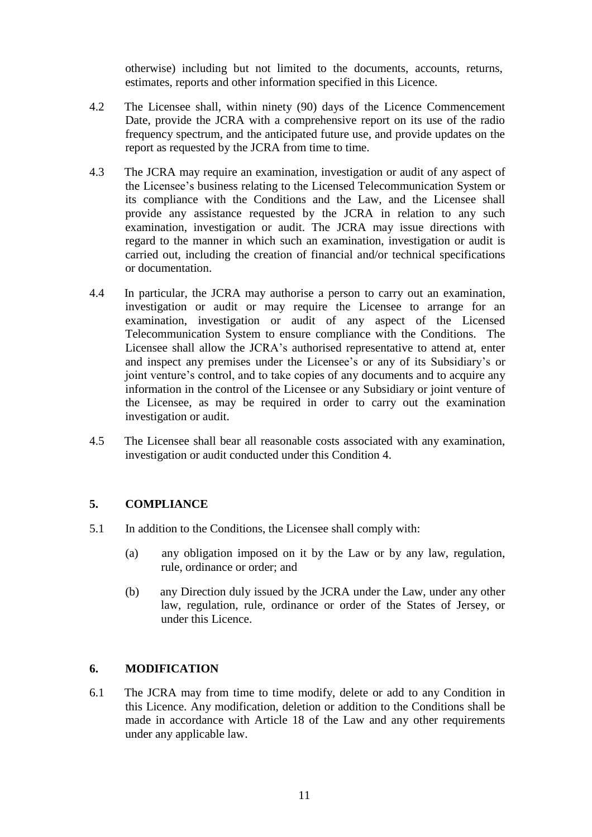otherwise) including but not limited to the documents, accounts, returns, estimates, reports and other information specified in this Licence.

- 4.2 The Licensee shall, within ninety (90) days of the Licence Commencement Date, provide the JCRA with a comprehensive report on its use of the radio frequency spectrum, and the anticipated future use, and provide updates on the report as requested by the JCRA from time to time.
- 4.3 The JCRA may require an examination, investigation or audit of any aspect of the Licensee's business relating to the Licensed Telecommunication System or its compliance with the Conditions and the Law, and the Licensee shall provide any assistance requested by the JCRA in relation to any such examination, investigation or audit. The JCRA may issue directions with regard to the manner in which such an examination, investigation or audit is carried out, including the creation of financial and/or technical specifications or documentation.
- 4.4 In particular, the JCRA may authorise a person to carry out an examination, investigation or audit or may require the Licensee to arrange for an examination, investigation or audit of any aspect of the Licensed Telecommunication System to ensure compliance with the Conditions. The Licensee shall allow the JCRA's authorised representative to attend at, enter and inspect any premises under the Licensee's or any of its Subsidiary's or joint venture's control, and to take copies of any documents and to acquire any information in the control of the Licensee or any Subsidiary or joint venture of the Licensee, as may be required in order to carry out the examination investigation or audit.
- 4.5 The Licensee shall bear all reasonable costs associated with any examination, investigation or audit conducted under this Condition 4.

## **5. COMPLIANCE**

- 5.1 In addition to the Conditions, the Licensee shall comply with:
	- (a) any obligation imposed on it by the Law or by any law, regulation, rule, ordinance or order; and
	- (b) any Direction duly issued by the JCRA under the Law, under any other law, regulation, rule, ordinance or order of the States of Jersey, or under this Licence.

## **6. MODIFICATION**

6.1 The JCRA may from time to time modify, delete or add to any Condition in this Licence. Any modification, deletion or addition to the Conditions shall be made in accordance with Article 18 of the Law and any other requirements under any applicable law.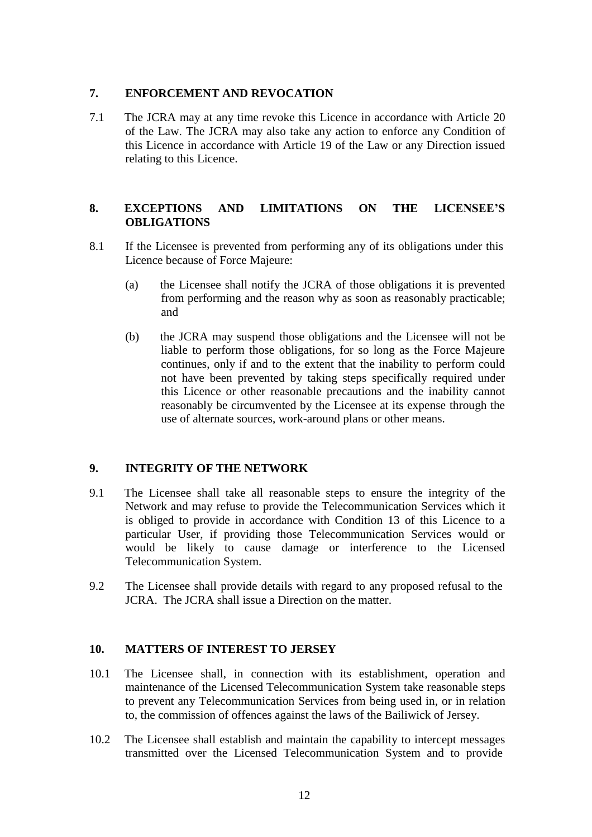## **7. ENFORCEMENT AND REVOCATION**

7.1 The JCRA may at any time revoke this Licence in accordance with Article 20 of the Law. The JCRA may also take any action to enforce any Condition of this Licence in accordance with Article 19 of the Law or any Direction issued relating to this Licence.

## **8. EXCEPTIONS AND LIMITATIONS ON THE LICENSEE'S OBLIGATIONS**

- 8.1 If the Licensee is prevented from performing any of its obligations under this Licence because of Force Majeure:
	- (a) the Licensee shall notify the JCRA of those obligations it is prevented from performing and the reason why as soon as reasonably practicable; and
	- (b) the JCRA may suspend those obligations and the Licensee will not be liable to perform those obligations, for so long as the Force Majeure continues, only if and to the extent that the inability to perform could not have been prevented by taking steps specifically required under this Licence or other reasonable precautions and the inability cannot reasonably be circumvented by the Licensee at its expense through the use of alternate sources, work-around plans or other means.

## **9. INTEGRITY OF THE NETWORK**

- 9.1 The Licensee shall take all reasonable steps to ensure the integrity of the Network and may refuse to provide the Telecommunication Services which it is obliged to provide in accordance with Condition 13 of this Licence to a particular User, if providing those Telecommunication Services would or would be likely to cause damage or interference to the Licensed Telecommunication System.
- 9.2 The Licensee shall provide details with regard to any proposed refusal to the JCRA. The JCRA shall issue a Direction on the matter.

## **10. MATTERS OF INTEREST TO JERSEY**

- 10.1 The Licensee shall, in connection with its establishment, operation and maintenance of the Licensed Telecommunication System take reasonable steps to prevent any Telecommunication Services from being used in, or in relation to, the commission of offences against the laws of the Bailiwick of Jersey.
- 10.2 The Licensee shall establish and maintain the capability to intercept messages transmitted over the Licensed Telecommunication System and to provide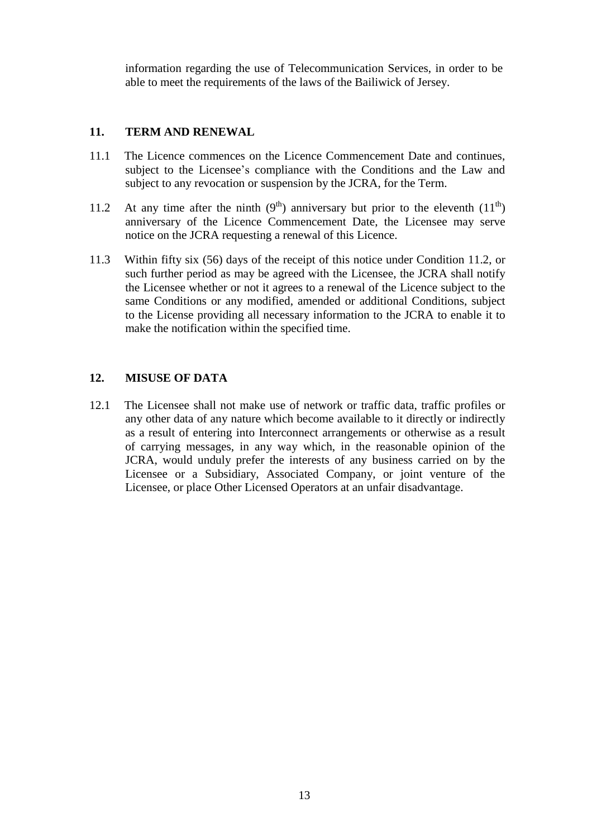information regarding the use of Telecommunication Services, in order to be able to meet the requirements of the laws of the Bailiwick of Jersey.

## **11. TERM AND RENEWAL**

- 11.1 The Licence commences on the Licence Commencement Date and continues, subject to the Licensee's compliance with the Conditions and the Law and subject to any revocation or suspension by the JCRA, for the Term.
- 11.2 At any time after the ninth  $(9<sup>th</sup>)$  anniversary but prior to the eleventh  $(11<sup>th</sup>)$ anniversary of the Licence Commencement Date, the Licensee may serve notice on the JCRA requesting a renewal of this Licence.
- 11.3 Within fifty six (56) days of the receipt of this notice under Condition 11.2, or such further period as may be agreed with the Licensee, the JCRA shall notify the Licensee whether or not it agrees to a renewal of the Licence subject to the same Conditions or any modified, amended or additional Conditions, subject to the License providing all necessary information to the JCRA to enable it to make the notification within the specified time.

## **12. MISUSE OF DATA**

12.1 The Licensee shall not make use of network or traffic data, traffic profiles or any other data of any nature which become available to it directly or indirectly as a result of entering into Interconnect arrangements or otherwise as a result of carrying messages, in any way which, in the reasonable opinion of the JCRA, would unduly prefer the interests of any business carried on by the Licensee or a Subsidiary, Associated Company, or joint venture of the Licensee, or place Other Licensed Operators at an unfair disadvantage.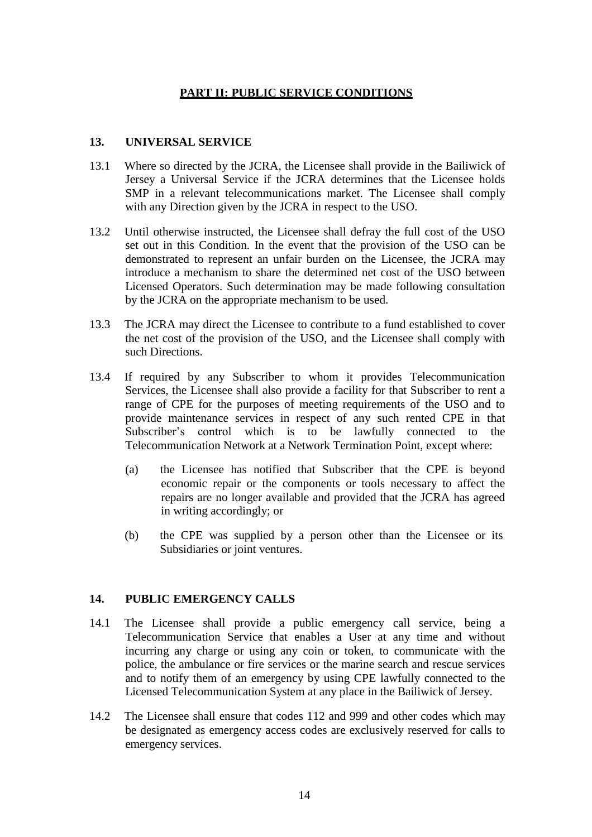## **PART II: PUBLIC SERVICE CONDITIONS**

#### **13. UNIVERSAL SERVICE**

- 13.1 Where so directed by the JCRA, the Licensee shall provide in the Bailiwick of Jersey a Universal Service if the JCRA determines that the Licensee holds SMP in a relevant telecommunications market. The Licensee shall comply with any Direction given by the JCRA in respect to the USO.
- 13.2 Until otherwise instructed, the Licensee shall defray the full cost of the USO set out in this Condition. In the event that the provision of the USO can be demonstrated to represent an unfair burden on the Licensee, the JCRA may introduce a mechanism to share the determined net cost of the USO between Licensed Operators. Such determination may be made following consultation by the JCRA on the appropriate mechanism to be used.
- 13.3 The JCRA may direct the Licensee to contribute to a fund established to cover the net cost of the provision of the USO, and the Licensee shall comply with such Directions.
- 13.4 If required by any Subscriber to whom it provides Telecommunication Services, the Licensee shall also provide a facility for that Subscriber to rent a range of CPE for the purposes of meeting requirements of the USO and to provide maintenance services in respect of any such rented CPE in that Subscriber's control which is to be lawfully connected to the Telecommunication Network at a Network Termination Point, except where:
	- (a) the Licensee has notified that Subscriber that the CPE is beyond economic repair or the components or tools necessary to affect the repairs are no longer available and provided that the JCRA has agreed in writing accordingly; or
	- (b) the CPE was supplied by a person other than the Licensee or its Subsidiaries or joint ventures.

## **14. PUBLIC EMERGENCY CALLS**

- 14.1 The Licensee shall provide a public emergency call service, being a Telecommunication Service that enables a User at any time and without incurring any charge or using any coin or token, to communicate with the police, the ambulance or fire services or the marine search and rescue services and to notify them of an emergency by using CPE lawfully connected to the Licensed Telecommunication System at any place in the Bailiwick of Jersey.
- 14.2 The Licensee shall ensure that codes 112 and 999 and other codes which may be designated as emergency access codes are exclusively reserved for calls to emergency services.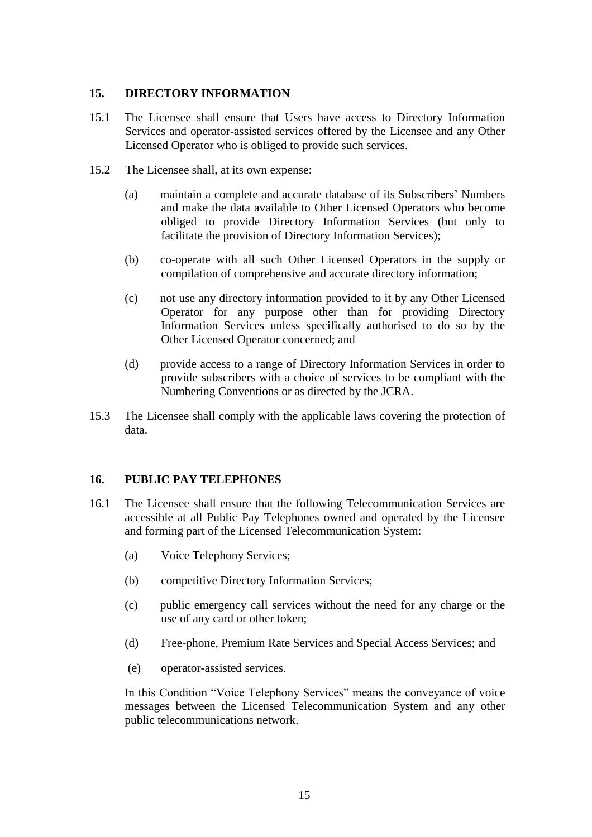## **15. DIRECTORY INFORMATION**

- 15.1 The Licensee shall ensure that Users have access to Directory Information Services and operator-assisted services offered by the Licensee and any Other Licensed Operator who is obliged to provide such services.
- 15.2 The Licensee shall, at its own expense:
	- (a) maintain a complete and accurate database of its Subscribers' Numbers and make the data available to Other Licensed Operators who become obliged to provide Directory Information Services (but only to facilitate the provision of Directory Information Services);
	- (b) co-operate with all such Other Licensed Operators in the supply or compilation of comprehensive and accurate directory information;
	- (c) not use any directory information provided to it by any Other Licensed Operator for any purpose other than for providing Directory Information Services unless specifically authorised to do so by the Other Licensed Operator concerned; and
	- (d) provide access to a range of Directory Information Services in order to provide subscribers with a choice of services to be compliant with the Numbering Conventions or as directed by the JCRA.
- 15.3 The Licensee shall comply with the applicable laws covering the protection of data.

#### **16. PUBLIC PAY TELEPHONES**

- 16.1 The Licensee shall ensure that the following Telecommunication Services are accessible at all Public Pay Telephones owned and operated by the Licensee and forming part of the Licensed Telecommunication System:
	- (a) Voice Telephony Services;
	- (b) competitive Directory Information Services;
	- (c) public emergency call services without the need for any charge or the use of any card or other token;
	- (d) Free-phone, Premium Rate Services and Special Access Services; and
	- (e) operator-assisted services.

In this Condition "Voice Telephony Services" means the conveyance of voice messages between the Licensed Telecommunication System and any other public telecommunications network.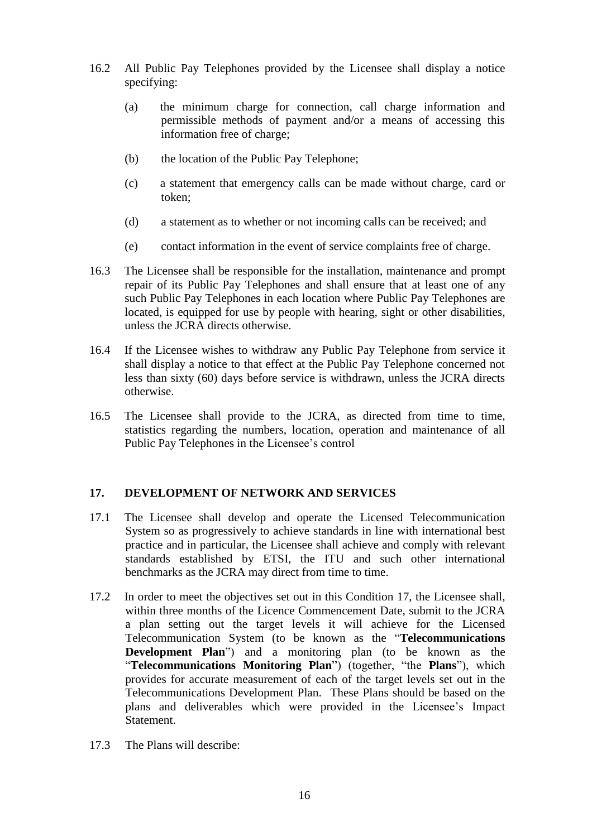- 16.2 All Public Pay Telephones provided by the Licensee shall display a notice specifying:
	- (a) the minimum charge for connection, call charge information and permissible methods of payment and/or a means of accessing this information free of charge;
	- (b) the location of the Public Pay Telephone;
	- (c) a statement that emergency calls can be made without charge, card or token;
	- (d) a statement as to whether or not incoming calls can be received; and
	- (e) contact information in the event of service complaints free of charge.
- 16.3 The Licensee shall be responsible for the installation, maintenance and prompt repair of its Public Pay Telephones and shall ensure that at least one of any such Public Pay Telephones in each location where Public Pay Telephones are located, is equipped for use by people with hearing, sight or other disabilities, unless the JCRA directs otherwise.
- 16.4 If the Licensee wishes to withdraw any Public Pay Telephone from service it shall display a notice to that effect at the Public Pay Telephone concerned not less than sixty (60) days before service is withdrawn, unless the JCRA directs otherwise.
- 16.5 The Licensee shall provide to the JCRA, as directed from time to time, statistics regarding the numbers, location, operation and maintenance of all Public Pay Telephones in the Licensee's control

#### **17. DEVELOPMENT OF NETWORK AND SERVICES**

- 17.1 The Licensee shall develop and operate the Licensed Telecommunication System so as progressively to achieve standards in line with international best practice and in particular, the Licensee shall achieve and comply with relevant standards established by ETSI, the ITU and such other international benchmarks as the JCRA may direct from time to time.
- 17.2 In order to meet the objectives set out in this Condition 17, the Licensee shall, within three months of the Licence Commencement Date, submit to the JCRA a plan setting out the target levels it will achieve for the Licensed Telecommunication System (to be known as the "**Telecommunications Development Plan**") and a monitoring plan (to be known as the "**Telecommunications Monitoring Plan**") (together, "the **Plans**"), which provides for accurate measurement of each of the target levels set out in the Telecommunications Development Plan. These Plans should be based on the plans and deliverables which were provided in the Licensee's Impact Statement.
- 17.3 The Plans will describe: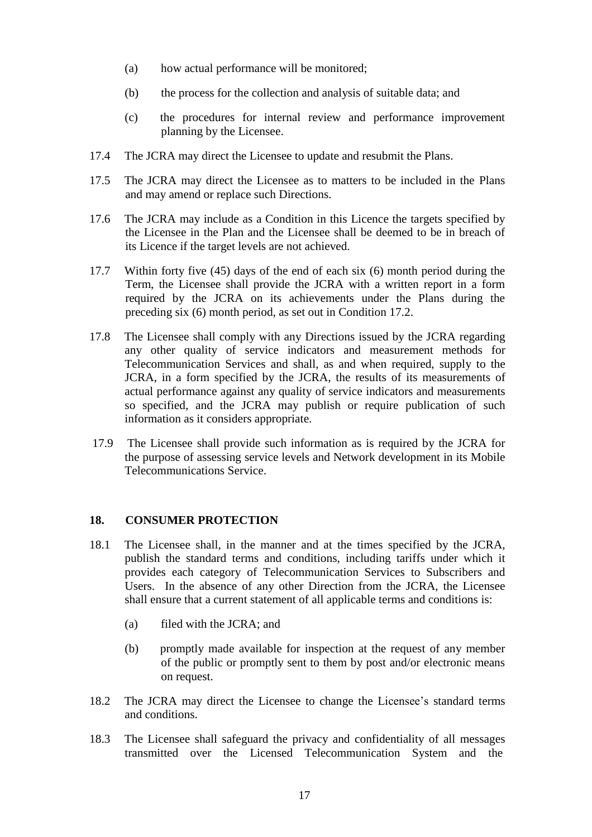- (a) how actual performance will be monitored;
- (b) the process for the collection and analysis of suitable data; and
- (c) the procedures for internal review and performance improvement planning by the Licensee.
- 17.4 The JCRA may direct the Licensee to update and resubmit the Plans.
- 17.5 The JCRA may direct the Licensee as to matters to be included in the Plans and may amend or replace such Directions.
- 17.6 The JCRA may include as a Condition in this Licence the targets specified by the Licensee in the Plan and the Licensee shall be deemed to be in breach of its Licence if the target levels are not achieved.
- 17.7 Within forty five (45) days of the end of each six (6) month period during the Term, the Licensee shall provide the JCRA with a written report in a form required by the JCRA on its achievements under the Plans during the preceding six (6) month period, as set out in Condition 17.2.
- 17.8 The Licensee shall comply with any Directions issued by the JCRA regarding any other quality of service indicators and measurement methods for Telecommunication Services and shall, as and when required, supply to the JCRA, in a form specified by the JCRA, the results of its measurements of actual performance against any quality of service indicators and measurements so specified, and the JCRA may publish or require publication of such information as it considers appropriate.
- 17.9 The Licensee shall provide such information as is required by the JCRA for the purpose of assessing service levels and Network development in its Mobile Telecommunications Service.

#### **18. CONSUMER PROTECTION**

- 18.1 The Licensee shall, in the manner and at the times specified by the JCRA, publish the standard terms and conditions, including tariffs under which it provides each category of Telecommunication Services to Subscribers and Users. In the absence of any other Direction from the JCRA, the Licensee shall ensure that a current statement of all applicable terms and conditions is:
	- (a) filed with the JCRA; and
	- (b) promptly made available for inspection at the request of any member of the public or promptly sent to them by post and/or electronic means on request.
- 18.2 The JCRA may direct the Licensee to change the Licensee's standard terms and conditions.
- 18.3 The Licensee shall safeguard the privacy and confidentiality of all messages transmitted over the Licensed Telecommunication System and the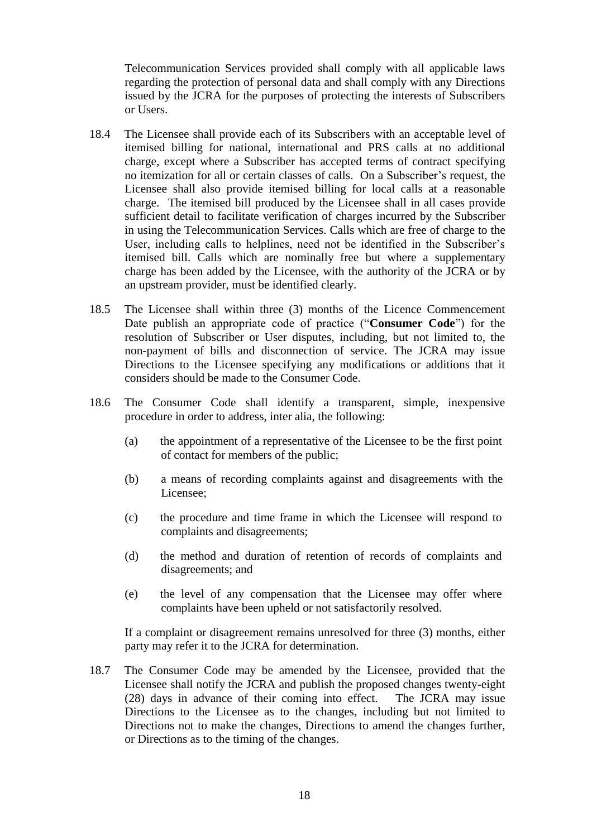Telecommunication Services provided shall comply with all applicable laws regarding the protection of personal data and shall comply with any Directions issued by the JCRA for the purposes of protecting the interests of Subscribers or Users.

- 18.4 The Licensee shall provide each of its Subscribers with an acceptable level of itemised billing for national, international and PRS calls at no additional charge, except where a Subscriber has accepted terms of contract specifying no itemization for all or certain classes of calls. On a Subscriber's request, the Licensee shall also provide itemised billing for local calls at a reasonable charge. The itemised bill produced by the Licensee shall in all cases provide sufficient detail to facilitate verification of charges incurred by the Subscriber in using the Telecommunication Services. Calls which are free of charge to the User, including calls to helplines, need not be identified in the Subscriber's itemised bill. Calls which are nominally free but where a supplementary charge has been added by the Licensee, with the authority of the JCRA or by an upstream provider, must be identified clearly.
- 18.5 The Licensee shall within three (3) months of the Licence Commencement Date publish an appropriate code of practice ("**Consumer Code**") for the resolution of Subscriber or User disputes, including, but not limited to, the non-payment of bills and disconnection of service. The JCRA may issue Directions to the Licensee specifying any modifications or additions that it considers should be made to the Consumer Code.
- 18.6 The Consumer Code shall identify a transparent, simple, inexpensive procedure in order to address, inter alia, the following:
	- (a) the appointment of a representative of the Licensee to be the first point of contact for members of the public;
	- (b) a means of recording complaints against and disagreements with the Licensee;
	- (c) the procedure and time frame in which the Licensee will respond to complaints and disagreements;
	- (d) the method and duration of retention of records of complaints and disagreements; and
	- (e) the level of any compensation that the Licensee may offer where complaints have been upheld or not satisfactorily resolved.

If a complaint or disagreement remains unresolved for three (3) months, either party may refer it to the JCRA for determination.

18.7 The Consumer Code may be amended by the Licensee, provided that the Licensee shall notify the JCRA and publish the proposed changes twenty-eight (28) days in advance of their coming into effect. The JCRA may issue Directions to the Licensee as to the changes, including but not limited to Directions not to make the changes, Directions to amend the changes further, or Directions as to the timing of the changes.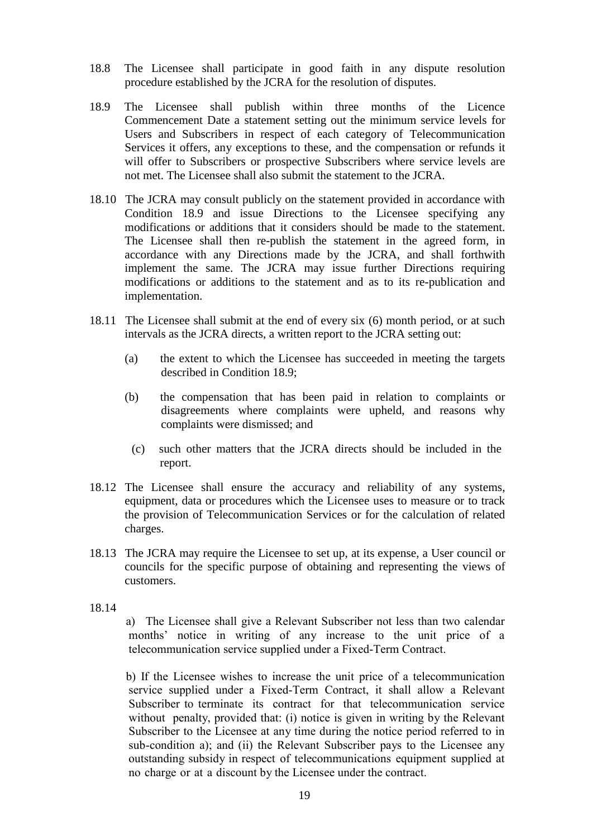- 18.8 The Licensee shall participate in good faith in any dispute resolution procedure established by the JCRA for the resolution of disputes.
- 18.9 The Licensee shall publish within three months of the Licence Commencement Date a statement setting out the minimum service levels for Users and Subscribers in respect of each category of Telecommunication Services it offers, any exceptions to these, and the compensation or refunds it will offer to Subscribers or prospective Subscribers where service levels are not met. The Licensee shall also submit the statement to the JCRA.
- 18.10 The JCRA may consult publicly on the statement provided in accordance with Condition 18.9 and issue Directions to the Licensee specifying any modifications or additions that it considers should be made to the statement. The Licensee shall then re-publish the statement in the agreed form, in accordance with any Directions made by the JCRA, and shall forthwith implement the same. The JCRA may issue further Directions requiring modifications or additions to the statement and as to its re-publication and implementation.
- 18.11 The Licensee shall submit at the end of every six (6) month period, or at such intervals as the JCRA directs, a written report to the JCRA setting out:
	- (a) the extent to which the Licensee has succeeded in meeting the targets described in Condition 18.9;
	- (b) the compensation that has been paid in relation to complaints or disagreements where complaints were upheld, and reasons why complaints were dismissed; and
	- (c) such other matters that the JCRA directs should be included in the report.
- 18.12 The Licensee shall ensure the accuracy and reliability of any systems, equipment, data or procedures which the Licensee uses to measure or to track the provision of Telecommunication Services or for the calculation of related charges.
- 18.13 The JCRA may require the Licensee to set up, at its expense, a User council or councils for the specific purpose of obtaining and representing the views of customers.
- 18.14

a) The Licensee shall give a Relevant Subscriber not less than two calendar months' notice in writing of any increase to the unit price of a telecommunication service supplied under a Fixed-Term Contract.

b) If the Licensee wishes to increase the unit price of a telecommunication service supplied under a Fixed-Term Contract, it shall allow a Relevant Subscriber to terminate its contract for that telecommunication service without penalty, provided that: (i) notice is given in writing by the Relevant Subscriber to the Licensee at any time during the notice period referred to in sub-condition a); and (ii) the Relevant Subscriber pays to the Licensee any outstanding subsidy in respect of telecommunications equipment supplied at no charge or at a discount by the Licensee under the contract.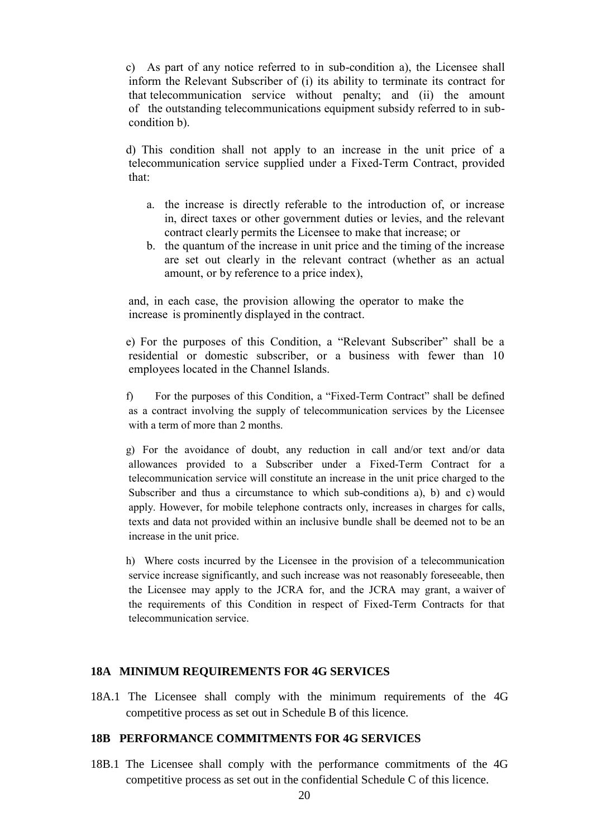c) As part of any notice referred to in sub-condition a), the Licensee shall inform the Relevant Subscriber of (i) its ability to terminate its contract for that telecommunication service without penalty; and (ii) the amount of the outstanding telecommunications equipment subsidy referred to in subcondition b).

d) This condition shall not apply to an increase in the unit price of a telecommunication service supplied under a Fixed-Term Contract, provided that:

- a. the increase is directly referable to the introduction of, or increase in, direct taxes or other government duties or levies, and the relevant contract clearly permits the Licensee to make that increase; or
- b. the quantum of the increase in unit price and the timing of the increase are set out clearly in the relevant contract (whether as an actual amount, or by reference to a price index),

and, in each case, the provision allowing the operator to make the increase is prominently displayed in the contract.

e) For the purposes of this Condition, a "Relevant Subscriber" shall be a residential or domestic subscriber, or a business with fewer than 10 employees located in the Channel Islands.

f) For the purposes of this Condition, a "Fixed-Term Contract" shall be defined as a contract involving the supply of telecommunication services by the Licensee with a term of more than 2 months.

g) For the avoidance of doubt, any reduction in call and/or text and/or data allowances provided to a Subscriber under a Fixed-Term Contract for a telecommunication service will constitute an increase in the unit price charged to the Subscriber and thus a circumstance to which sub-conditions a), b) and c) would apply. However, for mobile telephone contracts only, increases in charges for calls, texts and data not provided within an inclusive bundle shall be deemed not to be an increase in the unit price.

h) Where costs incurred by the Licensee in the provision of a telecommunication service increase significantly, and such increase was not reasonably foreseeable, then the Licensee may apply to the JCRA for, and the JCRA may grant, a waiver of the requirements of this Condition in respect of Fixed-Term Contracts for that telecommunication service.

#### **18A MINIMUM REQUIREMENTS FOR 4G SERVICES**

18A.1 The Licensee shall comply with the minimum requirements of the 4G competitive process as set out in Schedule B of this licence.

#### **18B PERFORMANCE COMMITMENTS FOR 4G SERVICES**

18B.1 The Licensee shall comply with the performance commitments of the 4G competitive process as set out in the confidential Schedule C of this licence.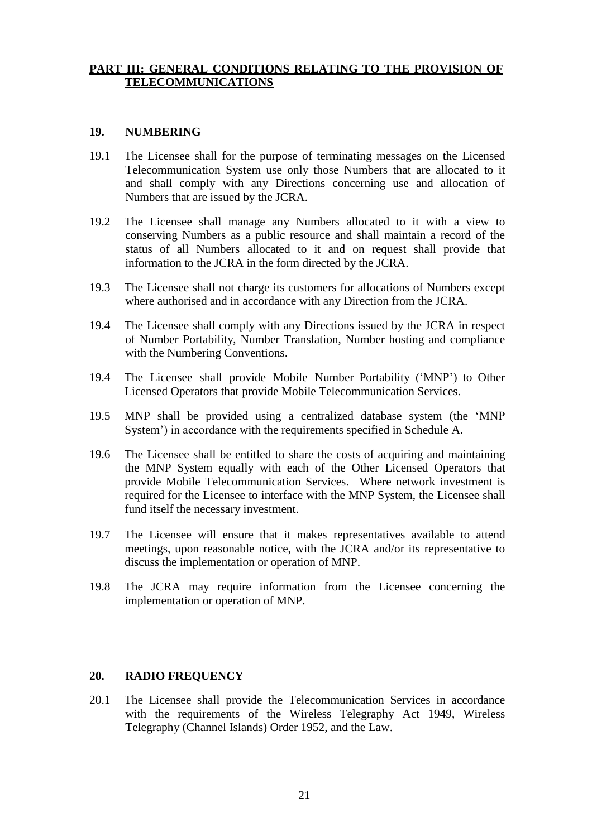## **PART III: GENERAL CONDITIONS RELATING TO THE PROVISION OF TELECOMMUNICATIONS**

#### **19. NUMBERING**

- 19.1 The Licensee shall for the purpose of terminating messages on the Licensed Telecommunication System use only those Numbers that are allocated to it and shall comply with any Directions concerning use and allocation of Numbers that are issued by the JCRA.
- 19.2 The Licensee shall manage any Numbers allocated to it with a view to conserving Numbers as a public resource and shall maintain a record of the status of all Numbers allocated to it and on request shall provide that information to the JCRA in the form directed by the JCRA.
- 19.3 The Licensee shall not charge its customers for allocations of Numbers except where authorised and in accordance with any Direction from the JCRA.
- 19.4 The Licensee shall comply with any Directions issued by the JCRA in respect of Number Portability, Number Translation, Number hosting and compliance with the Numbering Conventions.
- 19.4 The Licensee shall provide Mobile Number Portability ('MNP') to Other Licensed Operators that provide Mobile Telecommunication Services.
- 19.5 MNP shall be provided using a centralized database system (the 'MNP System') in accordance with the requirements specified in Schedule A.
- 19.6 The Licensee shall be entitled to share the costs of acquiring and maintaining the MNP System equally with each of the Other Licensed Operators that provide Mobile Telecommunication Services. Where network investment is required for the Licensee to interface with the MNP System, the Licensee shall fund itself the necessary investment.
- 19.7 The Licensee will ensure that it makes representatives available to attend meetings, upon reasonable notice, with the JCRA and/or its representative to discuss the implementation or operation of MNP.
- 19.8 The JCRA may require information from the Licensee concerning the implementation or operation of MNP.

#### **20. RADIO FREQUENCY**

20.1 The Licensee shall provide the Telecommunication Services in accordance with the requirements of the Wireless Telegraphy Act 1949, Wireless Telegraphy (Channel Islands) Order 1952, and the Law.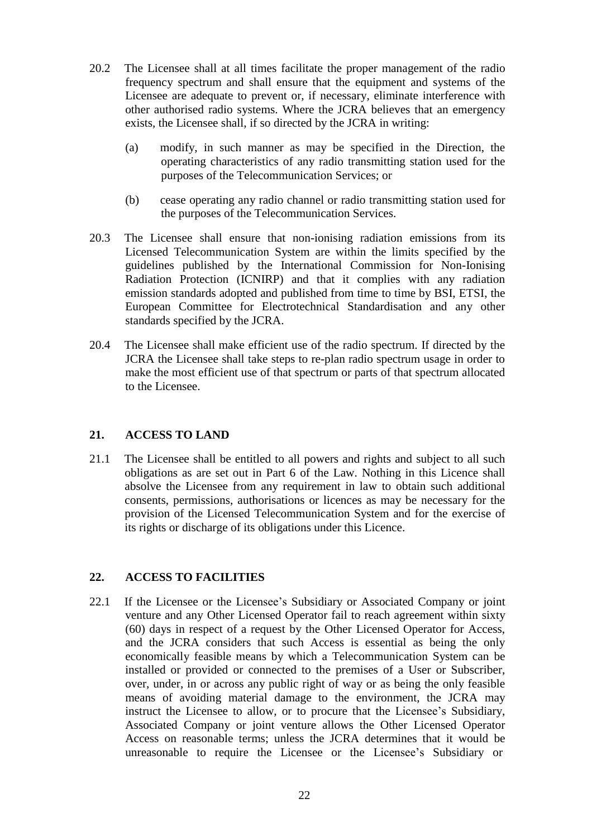- 20.2 The Licensee shall at all times facilitate the proper management of the radio frequency spectrum and shall ensure that the equipment and systems of the Licensee are adequate to prevent or, if necessary, eliminate interference with other authorised radio systems. Where the JCRA believes that an emergency exists, the Licensee shall, if so directed by the JCRA in writing:
	- (a) modify, in such manner as may be specified in the Direction, the operating characteristics of any radio transmitting station used for the purposes of the Telecommunication Services; or
	- (b) cease operating any radio channel or radio transmitting station used for the purposes of the Telecommunication Services.
- 20.3 The Licensee shall ensure that non-ionising radiation emissions from its Licensed Telecommunication System are within the limits specified by the guidelines published by the International Commission for Non-Ionising Radiation Protection (ICNIRP) and that it complies with any radiation emission standards adopted and published from time to time by BSI, ETSI, the European Committee for Electrotechnical Standardisation and any other standards specified by the JCRA.
- 20.4 The Licensee shall make efficient use of the radio spectrum. If directed by the JCRA the Licensee shall take steps to re-plan radio spectrum usage in order to make the most efficient use of that spectrum or parts of that spectrum allocated to the Licensee.

## **21. ACCESS TO LAND**

21.1 The Licensee shall be entitled to all powers and rights and subject to all such obligations as are set out in Part 6 of the Law. Nothing in this Licence shall absolve the Licensee from any requirement in law to obtain such additional consents, permissions, authorisations or licences as may be necessary for the provision of the Licensed Telecommunication System and for the exercise of its rights or discharge of its obligations under this Licence.

## **22. ACCESS TO FACILITIES**

22.1 If the Licensee or the Licensee's Subsidiary or Associated Company or joint venture and any Other Licensed Operator fail to reach agreement within sixty (60) days in respect of a request by the Other Licensed Operator for Access, and the JCRA considers that such Access is essential as being the only economically feasible means by which a Telecommunication System can be installed or provided or connected to the premises of a User or Subscriber, over, under, in or across any public right of way or as being the only feasible means of avoiding material damage to the environment, the JCRA may instruct the Licensee to allow, or to procure that the Licensee's Subsidiary, Associated Company or joint venture allows the Other Licensed Operator Access on reasonable terms; unless the JCRA determines that it would be unreasonable to require the Licensee or the Licensee's Subsidiary or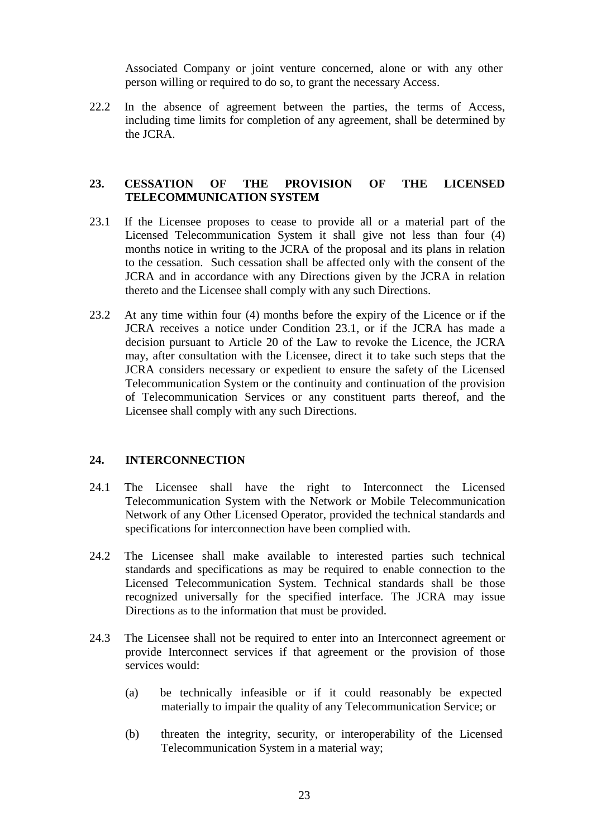Associated Company or joint venture concerned, alone or with any other person willing or required to do so, to grant the necessary Access.

22.2 In the absence of agreement between the parties, the terms of Access, including time limits for completion of any agreement, shall be determined by the JCRA.

## **23. CESSATION OF THE PROVISION OF THE LICENSED TELECOMMUNICATION SYSTEM**

- 23.1 If the Licensee proposes to cease to provide all or a material part of the Licensed Telecommunication System it shall give not less than four (4) months notice in writing to the JCRA of the proposal and its plans in relation to the cessation. Such cessation shall be affected only with the consent of the JCRA and in accordance with any Directions given by the JCRA in relation thereto and the Licensee shall comply with any such Directions.
- 23.2 At any time within four (4) months before the expiry of the Licence or if the JCRA receives a notice under Condition 23.1, or if the JCRA has made a decision pursuant to Article 20 of the Law to revoke the Licence, the JCRA may, after consultation with the Licensee, direct it to take such steps that the JCRA considers necessary or expedient to ensure the safety of the Licensed Telecommunication System or the continuity and continuation of the provision of Telecommunication Services or any constituent parts thereof, and the Licensee shall comply with any such Directions.

#### **24. INTERCONNECTION**

- 24.1 The Licensee shall have the right to Interconnect the Licensed Telecommunication System with the Network or Mobile Telecommunication Network of any Other Licensed Operator, provided the technical standards and specifications for interconnection have been complied with.
- 24.2 The Licensee shall make available to interested parties such technical standards and specifications as may be required to enable connection to the Licensed Telecommunication System. Technical standards shall be those recognized universally for the specified interface. The JCRA may issue Directions as to the information that must be provided.
- 24.3 The Licensee shall not be required to enter into an Interconnect agreement or provide Interconnect services if that agreement or the provision of those services would:
	- (a) be technically infeasible or if it could reasonably be expected materially to impair the quality of any Telecommunication Service; or
	- (b) threaten the integrity, security, or interoperability of the Licensed Telecommunication System in a material way;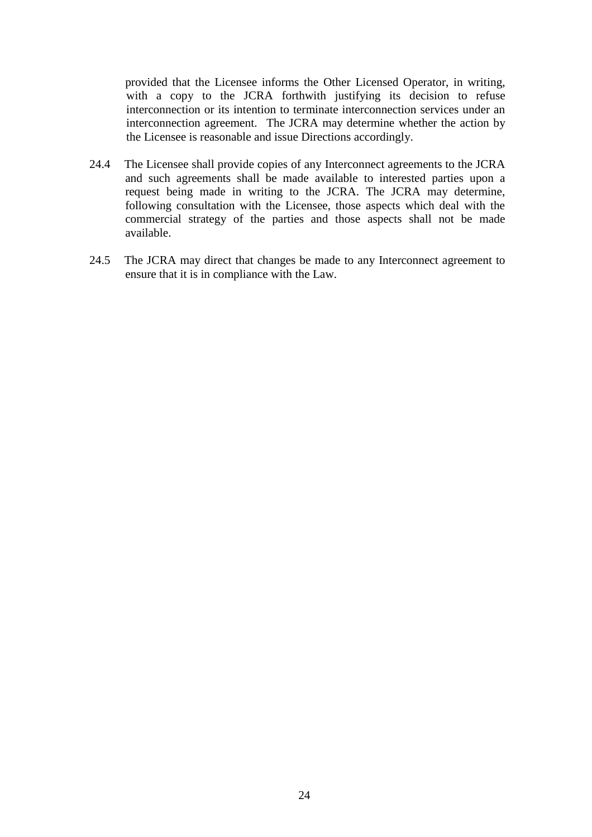provided that the Licensee informs the Other Licensed Operator, in writing, with a copy to the JCRA forthwith justifying its decision to refuse interconnection or its intention to terminate interconnection services under an interconnection agreement. The JCRA may determine whether the action by the Licensee is reasonable and issue Directions accordingly.

- 24.4 The Licensee shall provide copies of any Interconnect agreements to the JCRA and such agreements shall be made available to interested parties upon a request being made in writing to the JCRA. The JCRA may determine, following consultation with the Licensee, those aspects which deal with the commercial strategy of the parties and those aspects shall not be made available.
- 24.5 The JCRA may direct that changes be made to any Interconnect agreement to ensure that it is in compliance with the Law.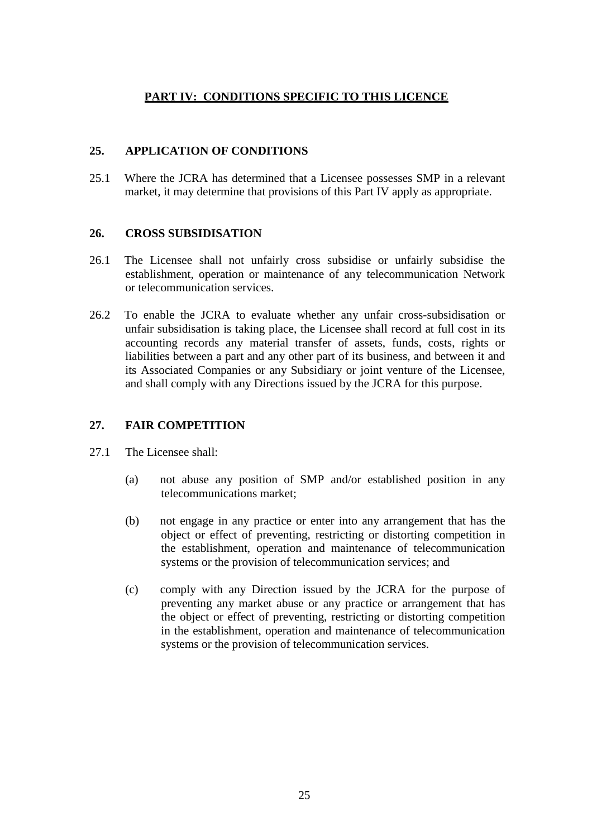## **PART IV: CONDITIONS SPECIFIC TO THIS LICENCE**

## **25. APPLICATION OF CONDITIONS**

25.1 Where the JCRA has determined that a Licensee possesses SMP in a relevant market, it may determine that provisions of this Part IV apply as appropriate.

## **26. CROSS SUBSIDISATION**

- 26.1 The Licensee shall not unfairly cross subsidise or unfairly subsidise the establishment, operation or maintenance of any telecommunication Network or telecommunication services.
- 26.2 To enable the JCRA to evaluate whether any unfair cross-subsidisation or unfair subsidisation is taking place, the Licensee shall record at full cost in its accounting records any material transfer of assets, funds, costs, rights or liabilities between a part and any other part of its business, and between it and its Associated Companies or any Subsidiary or joint venture of the Licensee, and shall comply with any Directions issued by the JCRA for this purpose.

## **27. FAIR COMPETITION**

- 27.1 The Licensee shall:
	- (a) not abuse any position of SMP and/or established position in any telecommunications market;
	- (b) not engage in any practice or enter into any arrangement that has the object or effect of preventing, restricting or distorting competition in the establishment, operation and maintenance of telecommunication systems or the provision of telecommunication services; and
	- (c) comply with any Direction issued by the JCRA for the purpose of preventing any market abuse or any practice or arrangement that has the object or effect of preventing, restricting or distorting competition in the establishment, operation and maintenance of telecommunication systems or the provision of telecommunication services.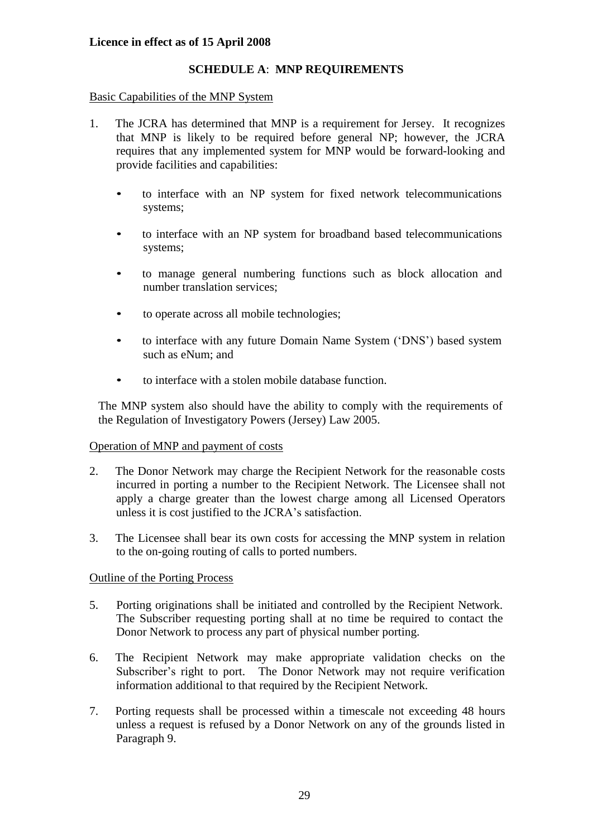#### **Licence in effect as of 15 April 2008**

#### **SCHEDULE A**: **MNP REQUIREMENTS**

#### Basic Capabilities of the MNP System

- 1. The JCRA has determined that MNP is a requirement for Jersey. It recognizes that MNP is likely to be required before general NP; however, the JCRA requires that any implemented system for MNP would be forward-looking and provide facilities and capabilities:
	- to interface with an NP system for fixed network telecommunications systems;
	- to interface with an NP system for broadband based telecommunications systems;
	- to manage general numbering functions such as block allocation and number translation services;
	- to operate across all mobile technologies;
	- to interface with any future Domain Name System ('DNS') based system such as eNum; and
	- to interface with a stolen mobile database function.

The MNP system also should have the ability to comply with the requirements of the Regulation of Investigatory Powers (Jersey) Law 2005.

#### Operation of MNP and payment of costs

- 2. The Donor Network may charge the Recipient Network for the reasonable costs incurred in porting a number to the Recipient Network. The Licensee shall not apply a charge greater than the lowest charge among all Licensed Operators unless it is cost justified to the JCRA's satisfaction.
- 3. The Licensee shall bear its own costs for accessing the MNP system in relation to the on-going routing of calls to ported numbers.

#### Outline of the Porting Process

- 5. Porting originations shall be initiated and controlled by the Recipient Network. The Subscriber requesting porting shall at no time be required to contact the Donor Network to process any part of physical number porting.
- 6. The Recipient Network may make appropriate validation checks on the Subscriber's right to port. The Donor Network may not require verification information additional to that required by the Recipient Network.
- 7. Porting requests shall be processed within a timescale not exceeding 48 hours unless a request is refused by a Donor Network on any of the grounds listed in Paragraph 9.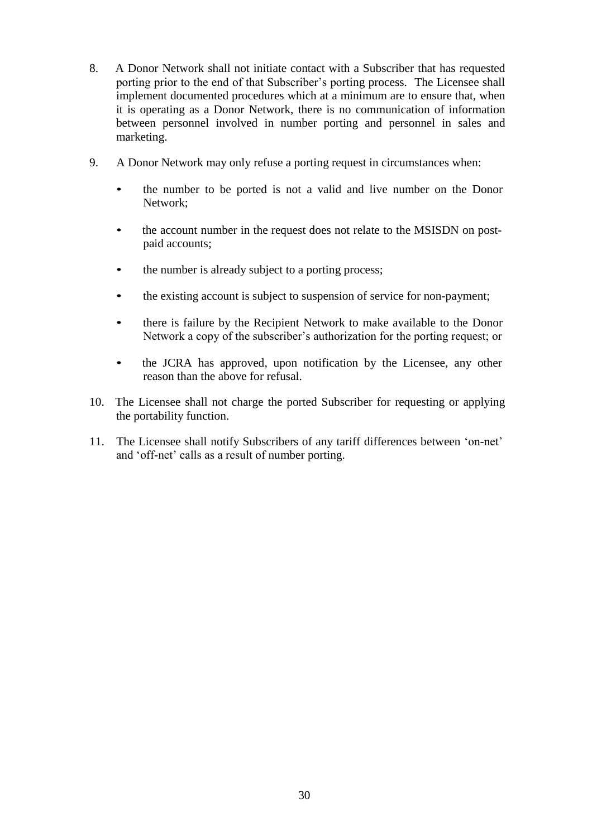- 8. A Donor Network shall not initiate contact with a Subscriber that has requested porting prior to the end of that Subscriber's porting process. The Licensee shall implement documented procedures which at a minimum are to ensure that, when it is operating as a Donor Network, there is no communication of information between personnel involved in number porting and personnel in sales and marketing.
- 9. A Donor Network may only refuse a porting request in circumstances when:
	- the number to be ported is not a valid and live number on the Donor Network;
	- the account number in the request does not relate to the MSISDN on postpaid accounts;
	- the number is already subject to a porting process;
	- the existing account is subject to suspension of service for non-payment;
	- there is failure by the Recipient Network to make available to the Donor Network a copy of the subscriber's authorization for the porting request; or
	- the JCRA has approved, upon notification by the Licensee, any other reason than the above for refusal.
- 10. The Licensee shall not charge the ported Subscriber for requesting or applying the portability function.
- 11. The Licensee shall notify Subscribers of any tariff differences between 'on-net' and 'off-net' calls as a result of number porting.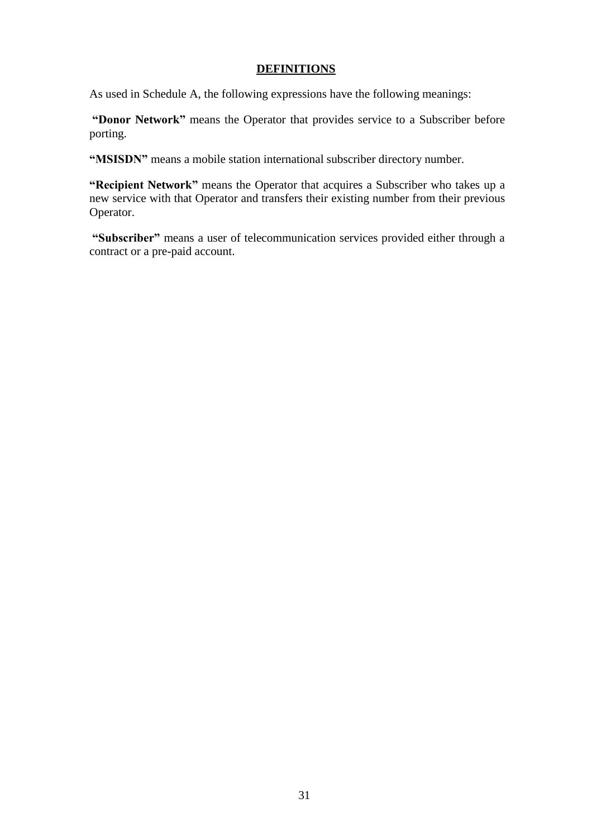## **DEFINITIONS**

As used in Schedule A, the following expressions have the following meanings:

**"Donor Network"** means the Operator that provides service to a Subscriber before porting.

**"MSISDN"** means a mobile station international subscriber directory number.

**"Recipient Network"** means the Operator that acquires a Subscriber who takes up a new service with that Operator and transfers their existing number from their previous Operator.

**"Subscriber"** means a user of telecommunication services provided either through a contract or a pre-paid account.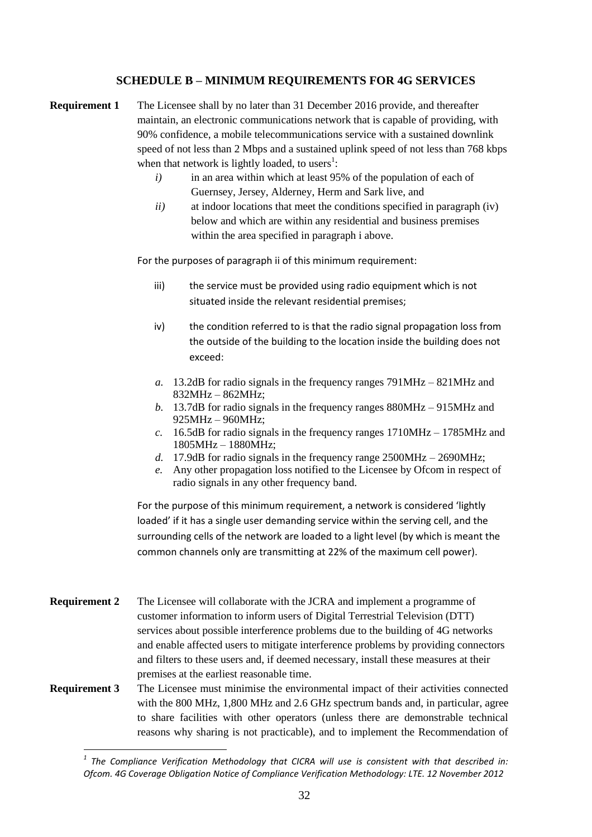#### **SCHEDULE B – MINIMUM REQUIREMENTS FOR 4G SERVICES**

- **Requirement 1** The Licensee shall by no later than 31 December 2016 provide, and thereafter maintain, an electronic communications network that is capable of providing, with 90% confidence, a mobile telecommunications service with a sustained downlink speed of not less than 2 Mbps and a sustained uplink speed of not less than 768 kbps when that network is lightly loaded, to users<sup>1</sup>:
	- *i*) in an area within which at least 95% of the population of each of Guernsey, Jersey, Alderney, Herm and Sark live, and
	- *ii)* at indoor locations that meet the conditions specified in paragraph (iv) below and which are within any residential and business premises within the area specified in paragraph i above.

For the purposes of paragraph ii of this minimum requirement:

- iii) the service must be provided using radio equipment which is not situated inside the relevant residential premises;
- iv) the condition referred to is that the radio signal propagation loss from the outside of the building to the location inside the building does not exceed:
- *a.* 13.2dB for radio signals in the frequency ranges 791MHz 821MHz and 832MHz – 862MHz;
- *b.* 13.7dB for radio signals in the frequency ranges 880MHz 915MHz and 925MHz – 960MHz;
- *c.* 16.5dB for radio signals in the frequency ranges 1710MHz 1785MHz and 1805MHz – 1880MHz;
- *d.* 17.9dB for radio signals in the frequency range 2500MHz 2690MHz;
- *e.* Any other propagation loss notified to the Licensee by Ofcom in respect of radio signals in any other frequency band.

For the purpose of this minimum requirement, a network is considered 'lightly loaded' if it has a single user demanding service within the serving cell, and the surrounding cells of the network are loaded to a light level (by which is meant the common channels only are transmitting at 22% of the maximum cell power).

- **Requirement 2** The Licensee will collaborate with the JCRA and implement a programme of customer information to inform users of Digital Terrestrial Television (DTT) services about possible interference problems due to the building of 4G networks and enable affected users to mitigate interference problems by providing connectors and filters to these users and, if deemed necessary, install these measures at their premises at the earliest reasonable time.
- **Requirement 3** The Licensee must minimise the environmental impact of their activities connected with the 800 MHz, 1,800 MHz and 2.6 GHz spectrum bands and, in particular, agree to share facilities with other operators (unless there are demonstrable technical reasons why sharing is not practicable), and to implement the Recommendation of

 $\overline{a}$ 

*<sup>1</sup> The Compliance Verification Methodology that CICRA will use is consistent with that described in: Ofcom. 4G Coverage Obligation Notice of Compliance Verification Methodology: LTE. 12 November 2012*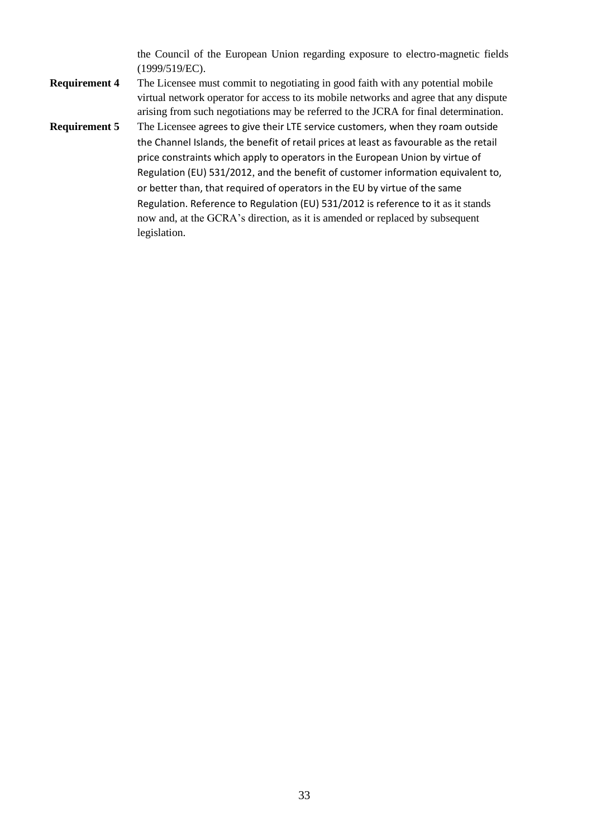the Council of the European Union regarding exposure to electro-magnetic fields (1999/519/EC).

- **Requirement 4** The Licensee must commit to negotiating in good faith with any potential mobile virtual network operator for access to its mobile networks and agree that any dispute arising from such negotiations may be referred to the JCRA for final determination.
- **Requirement 5** The Licensee agrees to give their LTE service customers, when they roam outside the Channel Islands, the benefit of retail prices at least as favourable as the retail price constraints which apply to operators in the European Union by virtue of Regulation (EU) 531/2012, and the benefit of customer information equivalent to, or better than, that required of operators in the EU by virtue of the same Regulation. Reference to Regulation (EU) 531/2012 is reference to it as it stands now and, at the GCRA's direction, as it is amended or replaced by subsequent legislation.